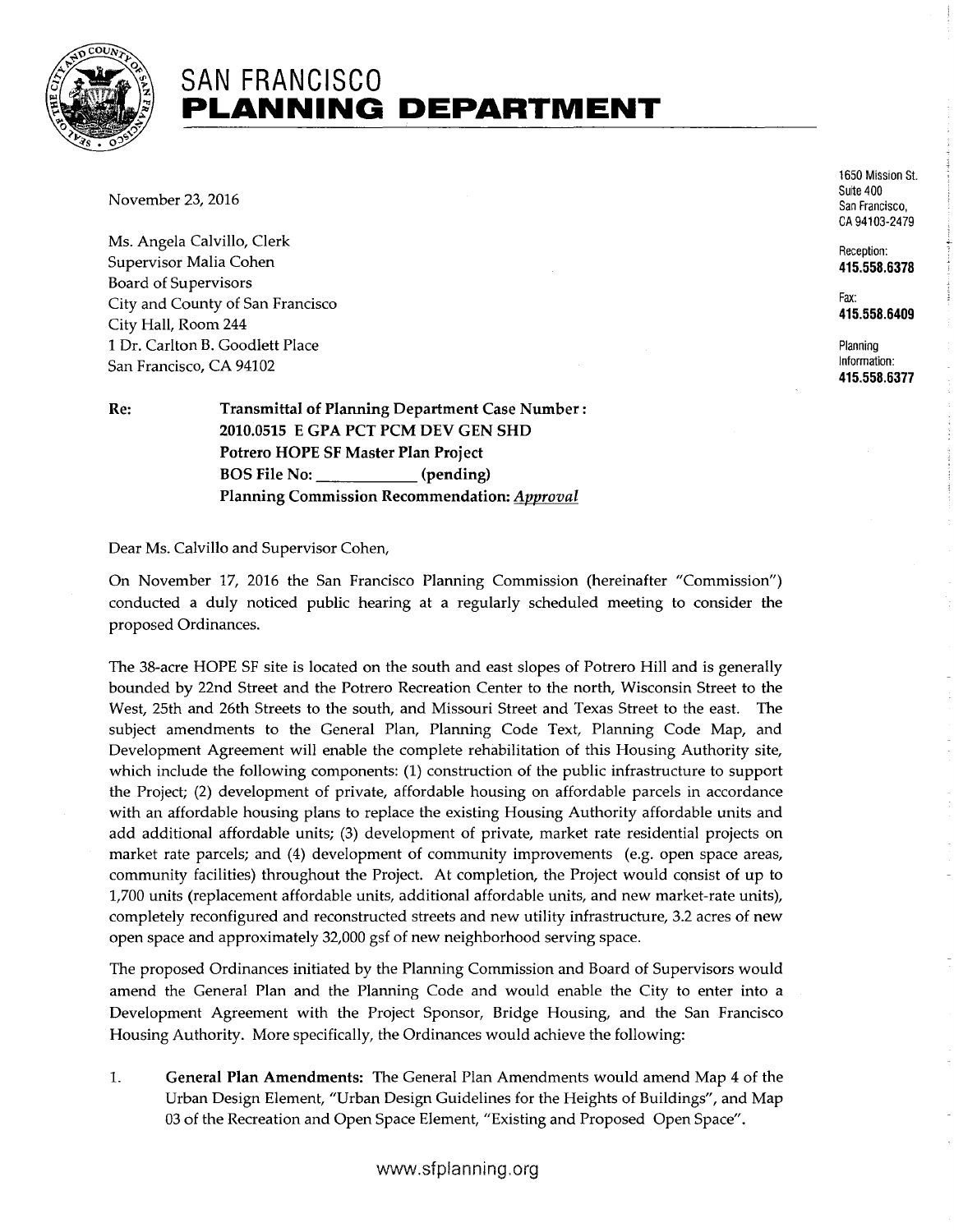

## **SAN FRANCISCO PLANNING DEPARTMENT**

November 23, 2016

Ms. Angela Calvillo, Clerk Supervisor Malia Cohen Board of Supervisors City and County of San Francisco City Hall, Room 244 1 Dr. Carlton B. Goodlett Place San Francisco, CA 94102

**Re: Transmittal of Planning Department** Case **Number: 2010.0515 E GPA PCT PCM DEV GEN SHD Potrero HOPE SF Master Plan Project BOS File No: (pending) Planning Commission Recommendation:** Approval

Dear Ms. Calvillo and Supervisor Cohen,

On November 17, 2016 the San Francisco Planning Commission (hereinafter "Commission") conducted a duly noticed public hearing at a regularly scheduled meeting to consider the proposed Ordinances.

The 38-acre HOPE SF site is located on the south and east slopes of Potrero Hill and is generally bounded by 22nd Street and the Potrero Recreation Center to the north, Wisconsin Street to the West, 25th and 26th Streets to the south, and Missouri Street and Texas Street to the east. The subject amendments to the General Plan, Planning Code Text, Planning Code Map, and Development Agreement will enable the complete rehabilitation of this Housing Authority site, which include the following components: (1) construction of the public infrastructure to support the Project; (2) development of private, affordable housing on affordable parcels in accordance with an affordable housing plans to replace the existing Housing Authority affordable units and add additional affordable units; (3) development of private, market rate residential projects on market rate parcels; and (4) development of community improvements (e.g. open space areas, community facilities) throughout the Project. At completion, the Project would consist of up to 1,700 units (replacement affordable units, additional affordable units, and new market-rate units), completely reconfigured and reconstructed streets and new utility infrastructure, 3.2 acres of new open space and approximately 32,000 gsf of new neighborhood serving space.

The proposed Ordinances initiated by the Planning Commission and Board of Supervisors would amend the General Plan and the Planning Code and would enable the City to enter into a Development Agreement with the Project Sponsor, Bridge Housing, and the San Francisco Housing Authority. More specifically, the Ordinances would achieve the following:

**1. General Plan Amendments:** The General Plan Amendments would amend Map 4 of the Urban Design Element, "Urban Design Guidelines for the Heights of Buildings", and Map 03 of the Recreation and Open Space Element, "Existing and Proposed Open Space".

1650 Mission St. Suite 400 San Francisco, CA 94103-2479

Reception: **415.558.6378** 

Fax: **415.558.6409** 

Planning Information: **415.558.6377**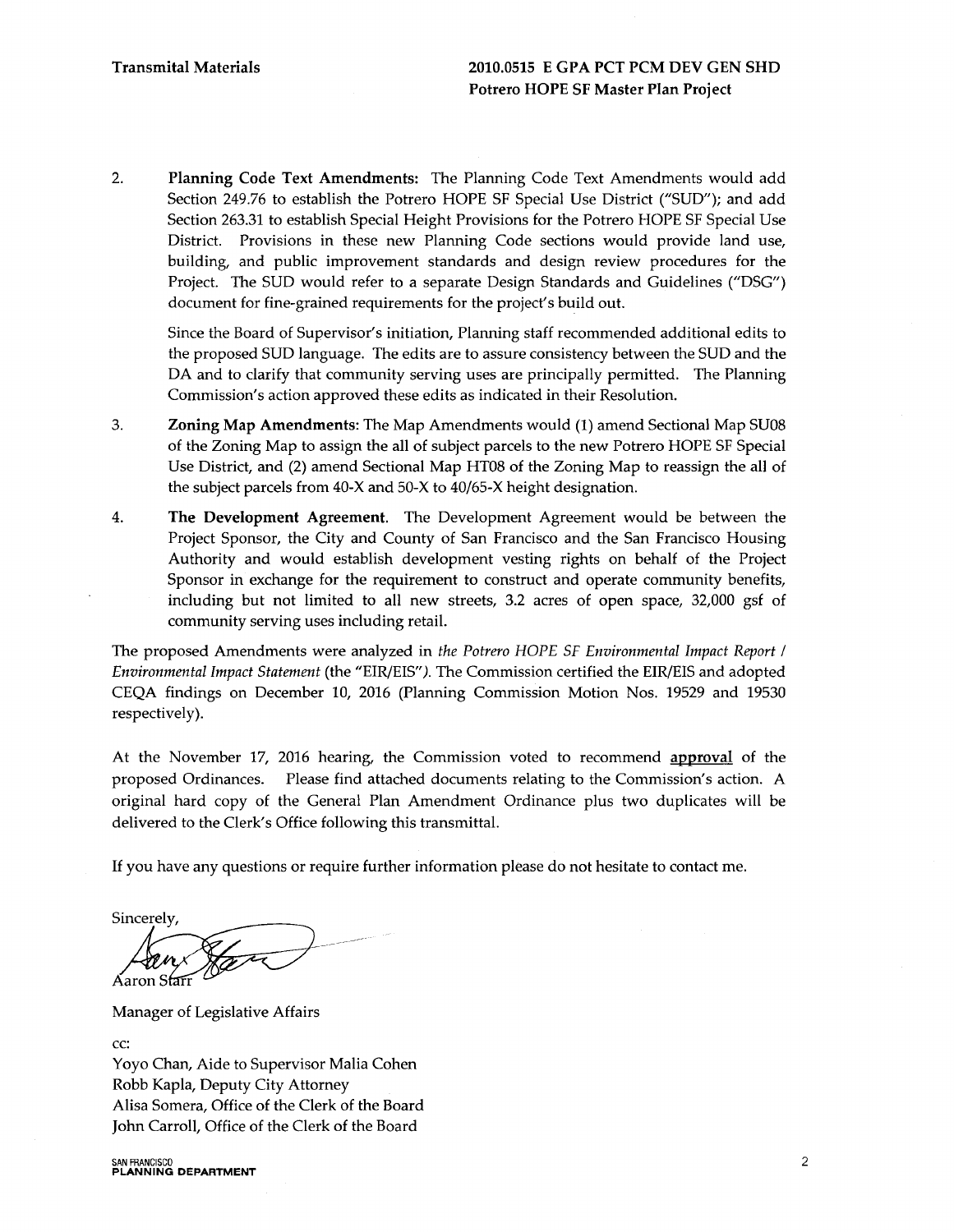2. Planning Code Text Amendments: The Planning Code Text Amendments would add Section 249.76 to establish the Potrero HOPE SF Special Use District ("SUD"); and add Section 263.31 to establish Special Height Provisions for the Potrero HOPE SF Special Use District. Provisions in these new Planning Code sections would provide land use, building, and public improvement standards and design review procedures for the Project. The SUD would refer to a separate Design Standards and Guidelines ("DSG") document for fine-grained requirements for the project's build out.

Since the Board of Supervisor's initiation, Planning staff recommended additional edits to the proposed SUD language. The edits are to assure consistency between the SUD and the DA and to clarify that community serving uses are principally permitted. The Planning Commission's action approved these edits as indicated in their Resolution.

- 3. Zoning Map Amendments: The Map Amendments would (1) amend Sectional Map SU08 of the Zoning Map to assign the all of subject parcels to the new Potrero HOPE SF Special Use District, and (2) amend Sectional Map HT08 of the Zoning Map to reassign the all of the subject parcels from 40-X and 50-X to 40/65-X height designation.
- 4. The Development Agreement. The Development Agreement would be between the Project Sponsor, the City and County of San Francisco and the San Francisco Housing Authority and would establish development vesting rights on behalf of the Project Sponsor in exchange for the requirement to construct and operate community benefits, including but not limited to all new streets, 3.2 acres of open space, 32,000 gsf of community serving uses including retail.

The proposed Amendments were analyzed in *the Potrero HOPE SF Environmental Impact Report I Environmental Impact Statement* (the "EIR/EIS" *).* The Commission certified the EIR/EIS and adopted CEQA findings on December 10, 2016 (Planning Commission Motion Nos. 19529 and 19530 respectively).

At the November 17, 2016 hearing, the Commission voted to recommend approval of the proposed Ordinances. Please find attached documents relating to the Commission's action. A original hard copy of the General Plan Amendment Ordinance plus two duplicates will be delivered to the Clerk's Office following this transmittal.

If you have any questions or require further information please do not hesitate to contact me.

Sincerely,

Áaron S<del>larr</del>

Manager of Legislative Affairs

cc:

Yoyo Chan, Aide to Supervisor Malia Cohen Robb Kapla, Deputy City Attorney Alisa Somera, Office of the Clerk of the Board John Carroll, Office of the Clerk of the Board